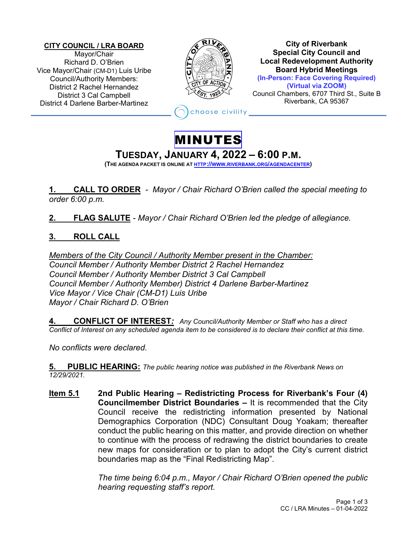**CITY COUNCIL / LRA BOARD** Mayor/Chair Richard D. O'Brien Vice Mayor/Chair (CM-D1) Luis Uribe Council/Authority Members: District 2 Rachel Hernandez District 3 Cal Campbell District 4 Darlene Barber-Martinez



**City of Riverbank Special City Council and Local Redevelopment Authority Board Hybrid Meetings (In-Person: Face Covering Required) (Virtual via ZOOM)**

Council Chambers, 6707 Third St., Suite B Riverbank, CA 95367

hoose civility

## MINUTES

# **TUESDAY, JANUARY 4, <sup>2022</sup> – 6:00 P.M. (THE AGENDA PACKET IS ONLINE AT HTTP://WWW.RIVERBANK.ORG/AGENDACENTER)**

**1. CALL TO ORDER** *- Mayor / Chair Richard O'Brien called the special meeting to order 6:00 p.m.*

**2. FLAG SALUTE** - *Mayor / Chair Richard O'Brien led the pledge of allegiance.*

#### **3. ROLL CALL**

*Members of the City Council / Authority Member present in the Chamber: Council Member / Authority Member District 2 Rachel Hernandez Council Member / Authority Member District 3 Cal Campbell Council Member / Authority Member) District 4 Darlene Barber-Martinez Vice Mayor / Vice Chair (CM-D1) Luis Uribe Mayor / Chair Richard D. O'Brien*

**4. CONFLICT OF INTEREST***: Any Council/Authority Member or Staff who has a direct Conflict of Interest on any scheduled agenda item to be considered is to declare their conflict at this time.*

*No conflicts were declared.*

**5. PUBLIC HEARING:** *The public hearing notice was published in the Riverbank News on 12/29/2021.*

**Item 5.1 2nd Public Hearing – Redistricting Process for Riverbank's Four (4) Councilmember District Boundaries –** It is recommended that the City Council receive the redistricting information presented by National Demographics Corporation (NDC) Consultant Doug Yoakam; thereafter conduct the public hearing on this matter, and provide direction on whether to continue with the process of redrawing the district boundaries to create new maps for consideration or to plan to adopt the City's current district boundaries map as the "Final Redistricting Map".

> *The time being 6:04 p.m., Mayor / Chair Richard O'Brien opened the public hearing requesting staff's report.*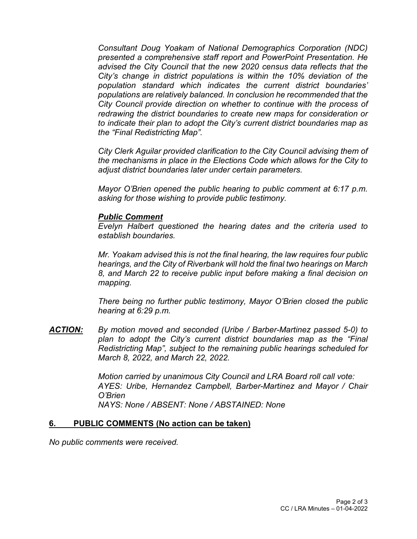*Consultant Doug Yoakam of National Demographics Corporation (NDC) presented a comprehensive staff report and PowerPoint Presentation. He advised the City Council that the new 2020 census data reflects that the City's change in district populations is within the 10% deviation of the population standard which indicates the current district boundaries' populations are relatively balanced. In conclusion he recommended that the City Council provide direction on whether to continue with the process of redrawing the district boundaries to create new maps for consideration or to indicate their plan to adopt the City's current district boundaries map as the "Final Redistricting Map".* 

*City Clerk Aguilar provided clarification to the City Council advising them of the mechanisms in place in the Elections Code which allows for the City to adjust district boundaries later under certain parameters.* 

*Mayor O'Brien opened the public hearing to public comment at 6:17 p.m. asking for those wishing to provide public testimony.*

#### *Public Comment*

*Evelyn Halbert questioned the hearing dates and the criteria used to establish boundaries.*

*Mr. Yoakam advised this is not the final hearing, the law requires four public hearings, and the City of Riverbank will hold the final two hearings on March 8, and March 22 to receive public input before making a final decision on mapping.*

*There being no further public testimony, Mayor O'Brien closed the public hearing at 6:29 p.m.*

*ACTION: By motion moved and seconded (Uribe / Barber-Martinez passed 5-0) to plan to adopt the City's current district boundaries map as the "Final Redistricting Map", subject to the remaining public hearings scheduled for March 8, 2022, and March 22, 2022.* 

> *Motion carried by unanimous City Council and LRA Board roll call vote: AYES: Uribe, Hernandez Campbell, Barber-Martinez and Mayor / Chair O'Brien NAYS: None / ABSENT: None / ABSTAINED: None*

#### **6. PUBLIC COMMENTS (No action can be taken)**

*No public comments were received.*